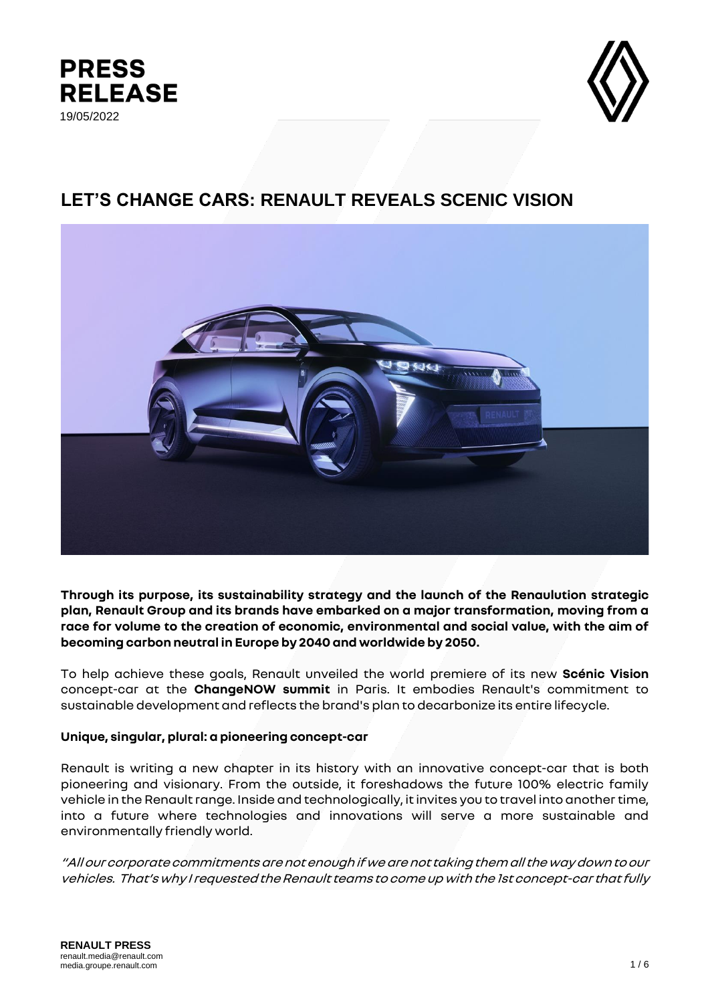



# **LET'S CHANGE CARS: RENAULT REVEALS SCENIC VISION**



**Through its purpose, its sustainability strategy and the launch of the Renaulution strategic plan, Renault Group and its brands have embarked on a major transformation, moving from a race for volume to the creation of economic, environmental and social value, with the aim of becoming carbon neutral in Europe by 2040 and worldwide by 2050.** 

To help achieve these goals, Renault unveiled the world premiere of its new **Scénic Vision** concept-car at the **ChangeNOW summit** in Paris. It embodies Renault's commitment to sustainable development and reflects the brand's plan to decarbonize its entire lifecycle.

# **Unique, singular, plural: a pioneering concept-car**

Renault is writing a new chapter in its history with an innovative concept-car that is both pioneering and visionary. From the outside, it foreshadows the future 100% electric family vehicle in the Renault range. Inside and technologically, it invites you to travel into another time, into a future where technologies and innovations will serve a more sustainable and environmentally friendly world.

"All our corporate commitments are not enough if we are not taking them all the way down to our vehicles. That's why I requested the Renault teams to come up with the 1st concept-car that fully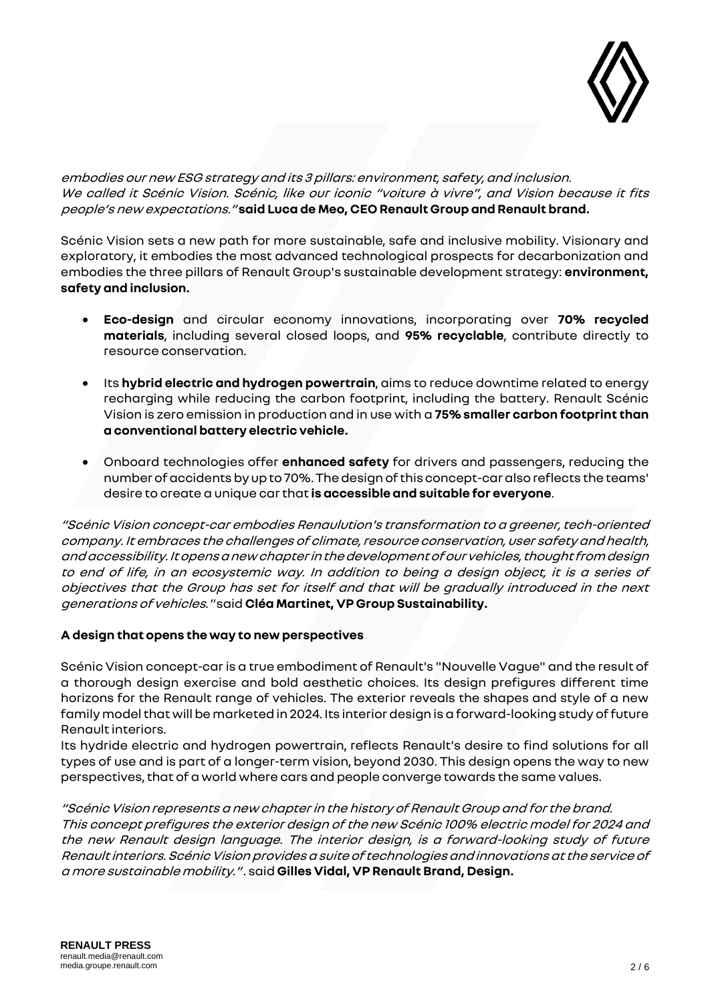

embodies our new ESG strategy and its 3 pillars: environment, safety, and inclusion. We called it Scénic Vision. Scénic, like our iconic "voiture à vivre", and Vision because it fits people's new expectations." **said Luca de Meo, CEO Renault Group and Renault brand.**

Scénic Vision sets a new path for more sustainable, safe and inclusive mobility. Visionary and exploratory, it embodies the most advanced technological prospects for decarbonization and embodies the three pillars of Renault Group's sustainable development strategy: **environment, safety and inclusion.**

- **Eco-design** and circular economy innovations, incorporating over **70% recycled materials**, including several closed loops, and **95% recyclable**, contribute directly to resource conservation.
- Its **hybrid electric and hydrogen powertrain**, aims to reduce downtime related to energy recharging while reducing the carbon footprint, including the battery. Renault Scénic Vision is zero emission in production and in use with a **75% smaller carbon footprint than a conventional battery electric vehicle.**
- Onboard technologies offer **enhanced safety** for drivers and passengers, reducing the number of accidents by up to 70%. The design of this concept-car also reflects the teams' desire to create a unique car that **is accessible and suitable for everyone**.

"Scénic Vision concept-car embodies Renaulution's transformation to a greener, tech-oriented company. It embraces the challenges of climate, resource conservation, user safety and health, and accessibility.It opens a new chapter in the development of our vehicles, thought from design to end of life, in an ecosystemic way. In addition to being a design object, it is a series of objectives that the Group has set for itself and that will be gradually introduced in the next generations of vehicles." said **Cléa Martinet, VP Group Sustainability.**

# **A design that opens the way to new perspectives**

Scénic Vision concept-car is a true embodiment of Renault's "Nouvelle Vague" and the result of a thorough design exercise and bold aesthetic choices. Its design prefigures different time horizons for the Renault range of vehicles. The exterior reveals the shapes and style of a new family model that will be marketed in 2024. Its interior design is a forward-looking study of future Renault interiors.

Its hydride electric and hydrogen powertrain, reflects Renault's desire to find solutions for all types of use and is part of a longer-term vision, beyond 2030. This design opens the way to new perspectives, that of a world where cars and people converge towards the same values.

"Scénic Vision represents a new chapter in the history of Renault Group and for the brand. This concept prefigures the exterior design of the new Scénic 100% electric model for 2024 and the new Renault design language. The interior design, is a forward-looking study of future Renault interiors.Scénic Visionprovides a suite of technologies and innovations at the service of a more sustainable mobility." . said **Gilles Vidal, VP Renault Brand, Design.**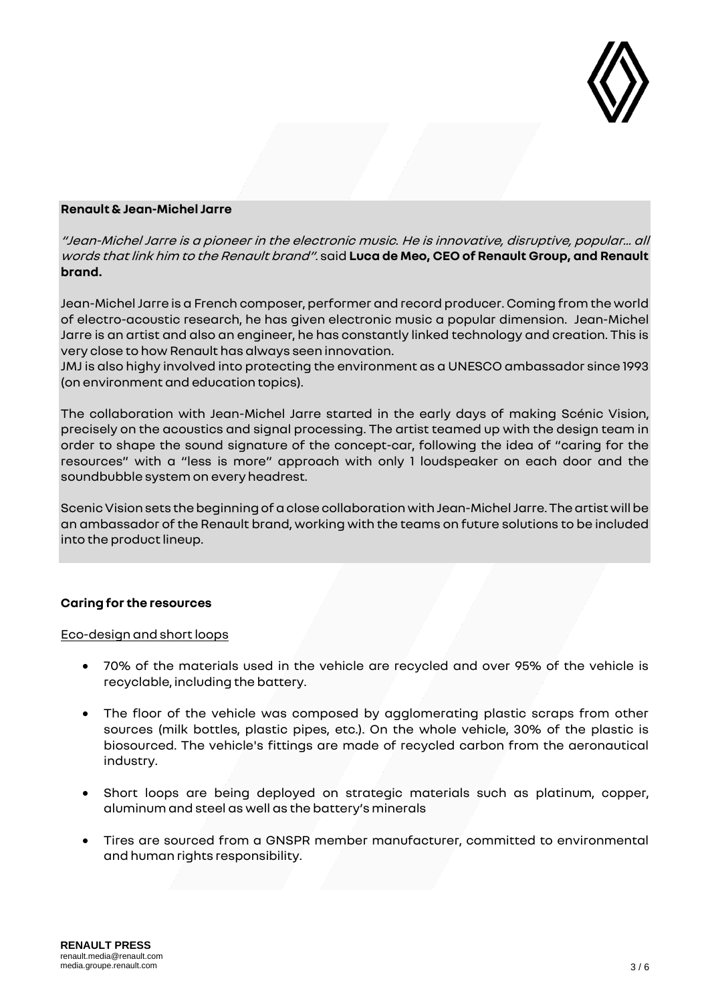

# **Renault & Jean-Michel Jarre**

"Jean-Michel Jarre is a pioneer in the electronic music. He is innovative, disruptive, popular... all words that link him to the Renault brand". said **Luca de Meo, CEO of Renault Group, and Renault brand.**

Jean-Michel Jarre is a French composer, performer and record producer. Coming from the world of electro-acoustic research, he has given electronic music a popular dimension. Jean-Michel Jarre is an artist and also an engineer, he has constantly linked technology and creation. This is very close to how Renault has always seen innovation.

JMJ is also highy involved into protecting the environment as a UNESCO ambassador since 1993 (on environment and education topics).

The collaboration with Jean-Michel Jarre started in the early days of making Scénic Vision, precisely on the acoustics and signal processing. The artist teamed up with the design team in order to shape the sound signature of the concept-car, following the idea of "caring for the resources" with a "less is more" approach with only 1 loudspeaker on each door and the soundbubble system on every headrest.

Scenic Vision sets the beginning of aclose collaboration with Jean-Michel Jarre. The artist will be an ambassador ofthe Renault brand, working with the teams on future solutions to be included into the product lineup.

## **Caring for the resources**

#### Eco-design and short loops

- 70% of the materials used in the vehicle are recycled and over 95% of the vehicle is recyclable, including the battery.
- The floor of the vehicle was composed by agglomerating plastic scraps from other sources (milk bottles, plastic pipes, etc.). On the whole vehicle, 30% of the plastic is biosourced. The vehicle's fittings are made of recycled carbon from the aeronautical industry.
- Short loops are being deployed on strategic materials such as platinum, copper, aluminum and steel as well as the battery's minerals
- Tires are sourced from a GNSPR member manufacturer, committed to environmental and human rights responsibility.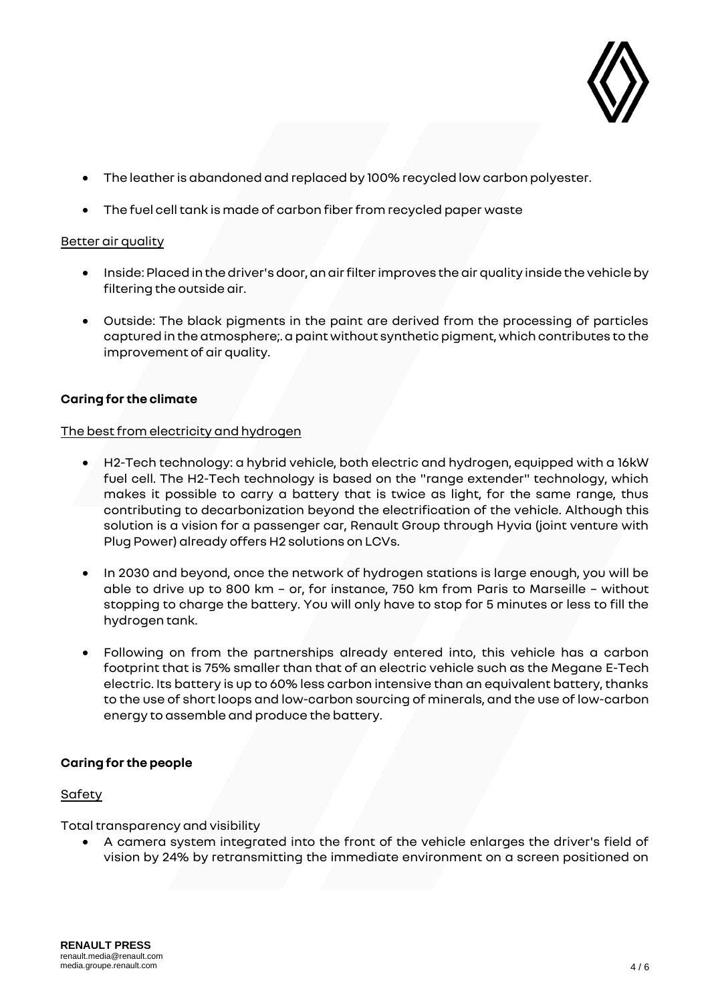

- The leather is abandoned and replaced by 100% recycled low carbon polyester.
- The fuel cell tank is made of carbon fiber from recycled paper waste

# Better air quality

- Inside: Placed in the driver's door, an air filter improves the air quality inside the vehicle by filtering the outside air.
- Outside: The black pigments in the paint are derived from the processing of particles captured in the atmosphere;. a paint without synthetic pigment, which contributes to the improvement of air quality.

# **Caring for the climate**

## The best from electricity and hydrogen

- H2-Tech technology: a hybrid vehicle, both electric and hydrogen, equipped with a 16kW fuel cell. The H2-Tech technology is based on the "range extender" technology, which makes it possible to carry a battery that is twice as light, for the same range, thus contributing to decarbonization beyond the electrification of the vehicle. Although this solution is a vision for a passenger car, Renault Group through Hyvia (joint venture with Plug Power) already offers H2 solutions on LCVs.
- In 2030 and beyond, once the network of hydrogen stations is large enough, you will be able to drive up to 800 km – or, for instance, 750 km from Paris to Marseille – without stopping to charge the battery. You will only have to stop for 5 minutes or less to fill the hydrogen tank.
- Following on from the partnerships already entered into, this vehicle has a carbon footprint that is 75% smaller than that of an electric vehicle such as the Megane E-Tech electric. Its battery is up to 60% less carbon intensive than an equivalent battery, thanks to the use of short loops and low-carbon sourcing of minerals, and the use of low-carbon energy to assemble and produce the battery.

## **Caring for the people**

## Safety

Total transparency and visibility

• A camera system integrated into the front of the vehicle enlarges the driver's field of vision by 24% by retransmitting the immediate environment on a screen positioned on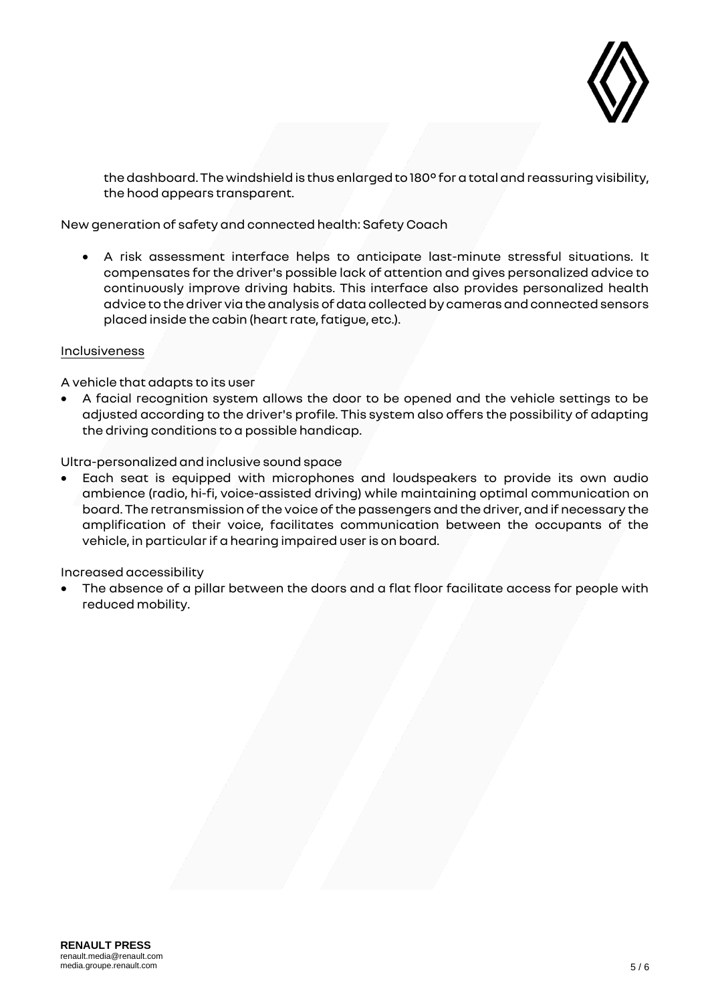

the dashboard. The windshield is thus enlarged to 180° for a total and reassuring visibility, the hood appears transparent.

New generation of safety and connected health: Safety Coach

• A risk assessment interface helps to anticipate last-minute stressful situations. It compensates for the driver's possible lack of attention and gives personalized advice to continuously improve driving habits. This interface also provides personalized health advice to the driver via the analysis of data collected by cameras and connected sensors placed inside the cabin (heart rate, fatigue, etc.).

## Inclusiveness

A vehicle that adapts to its user

• A facial recognition system allows the door to be opened and the vehicle settings to be adjusted according to the driver's profile. This system also offers the possibility of adapting the driving conditions to a possible handicap.

Ultra-personalized and inclusive sound space

• Each seat is equipped with microphones and loudspeakers to provide its own audio ambience (radio, hi-fi, voice-assisted driving) while maintaining optimal communication on board. The retransmission of the voice of the passengers and the driver, and if necessary the amplification of their voice, facilitates communication between the occupants of the vehicle, in particular if a hearing impaired user is on board.

Increased accessibility

• The absence of a pillar between the doors and a flat floor facilitate access for people with reduced mobility.